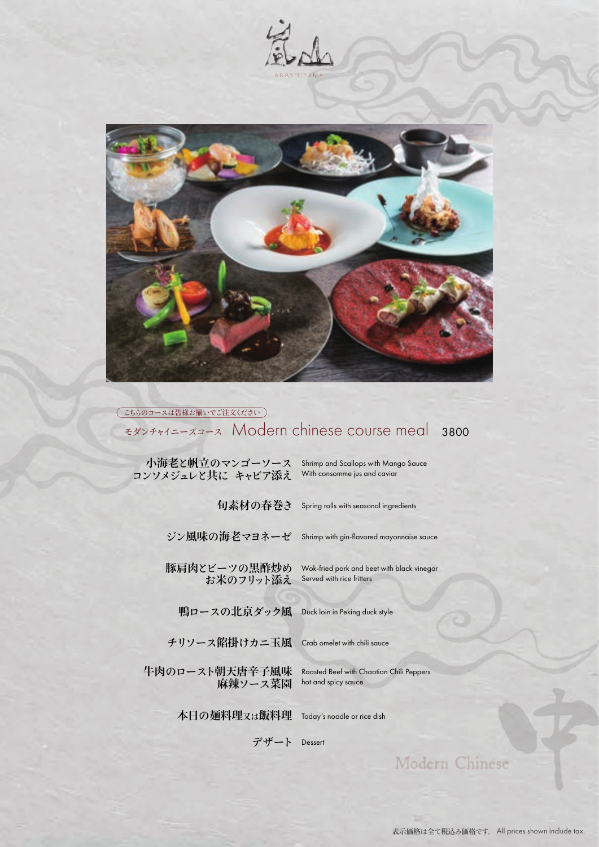



## モダンチャイニーズコース Modern chinese course meal <sup>3800</sup> (こちらのコースは皆様お揃いでご注文ください)

| 小海老と帆立のマンゴーソース<br>コンソメジュレと共に キャビア添え | Shrimp and Scallops with Mango Sauce<br>With consomme jus and caviar    |
|-------------------------------------|-------------------------------------------------------------------------|
| 旬素材の春巻き                             | Spring rolls with seasonal ingredients                                  |
| ジン風味の海老マヨネーゼ                        | Shrimp with gin-flavored mayonnaise sauce                               |
| 豚肩肉とビーツの黒酢炒め<br>お米のフリット添え           | Wok-fried pork and beet with black vinegar<br>Served with rice fritters |
| 鴨ロースの北京ダック風                         | Duck loin in Peking duck style                                          |
| チリソース餡掛けカニ玉風                        | Crab omelet with chili sauce                                            |
| 牛肉のロースト朝天唐辛子風味<br>麻辣ソース菜園           | Roasted Beef with Chaotian Chili Peppers<br>hot and spicy sauce         |
| 本日の麺料理 <sub>又は</sub> 飯料理            | Today's noodle or rice dish                                             |

**デザート** Dessert

Modern Chinese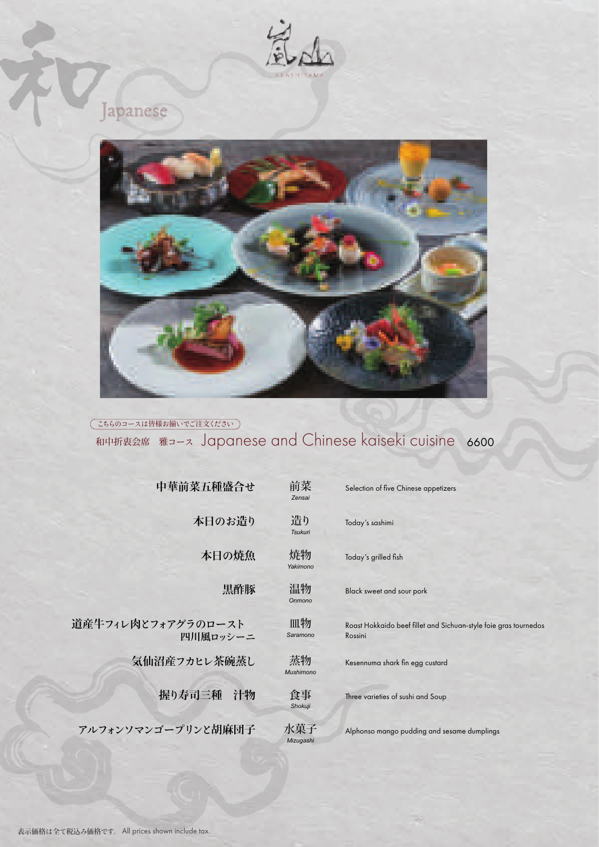

Japanese



(こちらのコースは皆様お揃いでご注文ください)

## 和中折衷会席 雅コース Japanese and Chinese kaiseki cuisine 6600

| 中華前菜五種盛合せ                      | 前菜<br>Zensai         | Selection of five Chinese appetizers                                        |
|--------------------------------|----------------------|-----------------------------------------------------------------------------|
| 本日のお造り                         | 造り<br><b>Tsukuri</b> | Today's sashimi                                                             |
| 本日の焼魚                          | 焼物<br>Yakimono       | Today's grilled fish                                                        |
| 黒酢豚                            | 温物<br>Onmono         | Black sweet and sour pork                                                   |
| 道産牛フィレ肉とフォアグラのロースト<br>四川風ロッシーニ | 皿物<br>Saramono       | Roast Hokkaido beef fillet and Sichuan-style foie gras tournedos<br>Rossini |
| 気仙沼産フカヒレ茶碗蒸し                   | 蒸物<br>Mushimono      | Kesennuma shark fin egg custard                                             |
| 握り寿司三種<br>汁物                   | 食事<br>Shokuji        | Three varieties of sushi and Soup                                           |
| アルフォンソマンゴープリンと胡麻団子             | 水菓子<br>Mizugashi     | Alphonso mango pudding and sesame dumplings                                 |